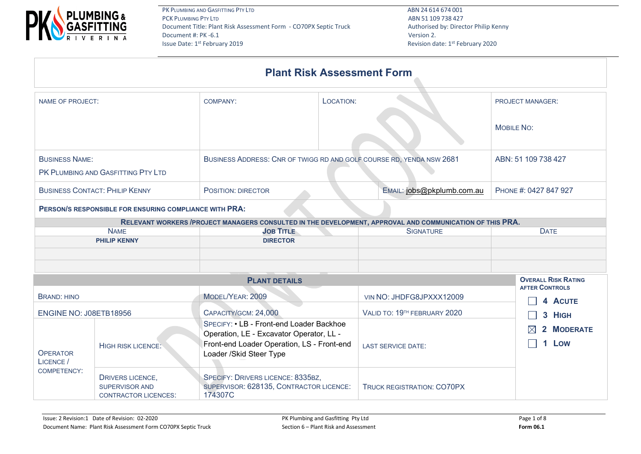

PK PLUMBING AND GASFITTING PTY LTD **ABN 24 614 674 001** PCK PLUMBING PTY LTD ABN 51 109 738 427 Document Title: Plant Risk Assessment Form - CO70PX Septic Truck Authorised by: Director Philip Kenny Document #: PK -6.1 Version 2.<br>
Issue Date: 1<sup>st</sup> February 2019

| <b>Plant Risk Assessment Form</b>                      |                           |                                                                                                           |                                                     |  |  |  |  |  |  |  |  |
|--------------------------------------------------------|---------------------------|-----------------------------------------------------------------------------------------------------------|-----------------------------------------------------|--|--|--|--|--|--|--|--|
| NAME OF PROJECT:                                       | <b>COMPANY:</b>           | <b>PROJECT MANAGER:</b>                                                                                   |                                                     |  |  |  |  |  |  |  |  |
|                                                        |                           |                                                                                                           | <b>MOBILE NO:</b>                                   |  |  |  |  |  |  |  |  |
| <b>BUSINESS NAME:</b>                                  |                           | BUSINESS ADDRESS: CNR OF TWIGG RD AND GOLF COURSE RD, YENDA NSW 2681                                      |                                                     |  |  |  |  |  |  |  |  |
| PK PLUMBING AND GASFITTING PTY LTD                     |                           |                                                                                                           |                                                     |  |  |  |  |  |  |  |  |
| <b>BUSINESS CONTACT: PHILIP KENNY</b>                  | <b>POSITION: DIRECTOR</b> | PHONE #: 0427 847 927                                                                                     |                                                     |  |  |  |  |  |  |  |  |
| PERSON/S RESPONSIBLE FOR ENSURING COMPLIANCE WITH PRA: |                           |                                                                                                           |                                                     |  |  |  |  |  |  |  |  |
|                                                        |                           | RELEVANT WORKERS / PROJECT MANAGERS CONSULTED IN THE DEVELOPMENT, APPROVAL AND COMMUNICATION OF THIS PRA. |                                                     |  |  |  |  |  |  |  |  |
| <b>NAME</b>                                            | <b>JOB TITLE</b>          | <b>SIGNATURE</b>                                                                                          | <b>DATE</b>                                         |  |  |  |  |  |  |  |  |
| <b>PHILIP KENNY</b>                                    | <b>DIRECTOR</b>           |                                                                                                           |                                                     |  |  |  |  |  |  |  |  |
|                                                        | <b>PLANT DETAILS</b>      |                                                                                                           | <b>OVERALL RISK RATING</b><br><b>AFTER CONTROLS</b> |  |  |  |  |  |  |  |  |
| <b>BRAND: HINO</b>                                     | MODEL/YEAR: 2009          | VIN NO: JHDFG8JPXXX12009                                                                                  | 4 ACUTE                                             |  |  |  |  |  |  |  |  |
| ENGINE NO: J08ETB18956                                 | CAPACITY/GCM: 24,000      | VALID TO: 19TH FEBRUARY 2020                                                                              | 3 HIGH                                              |  |  |  |  |  |  |  |  |

| <b>OPERATOR</b><br>LICENCE /<br>COMPETENCY: | <b>HIGH RISK LICENCE:</b>                                                | SPECIFY: • LB - Front-end Loader Backhoe<br>Operation, LE - Excavator Operator, LL -<br>Front-end Loader Operation, LS - Front-end<br>Loader / Skid Steer Type | <b>LAST SERVICE DATE:</b>  | $\boxtimes$ 2 MODERATE<br>1 Low |
|---------------------------------------------|--------------------------------------------------------------------------|----------------------------------------------------------------------------------------------------------------------------------------------------------------|----------------------------|---------------------------------|
|                                             | <b>DRIVERS LICENCE,</b><br>SUPERVISOR AND<br><b>CONTRACTOR LICENCES:</b> | SPECIFY: DRIVERS LICENCE: 8335BZ,<br>SUPERVISOR: 628135, CONTRACTOR LICENCE:<br>174307C                                                                        | TRUCK REGISTRATION: CO70PX |                                 |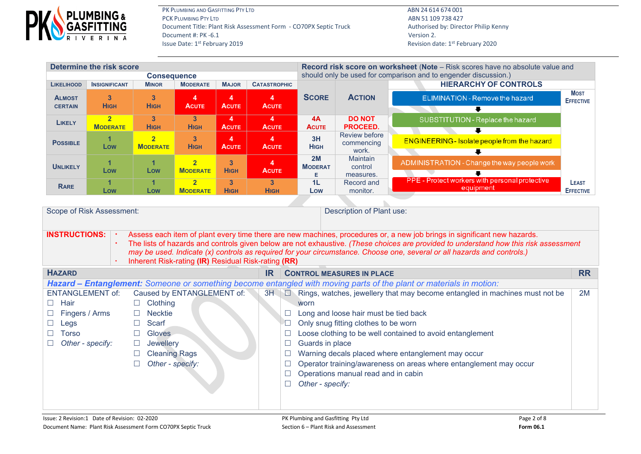

| <b>Determine the risk score</b>                             |                                   |                                    |                                   |                               |                                                     | Record risk score on worksheet (Note - Risk scores have no absolute value and |                                                                                                 |                                                                                                                                                                                                                                                                                                                                                                                             |                                  |  |  |
|-------------------------------------------------------------|-----------------------------------|------------------------------------|-----------------------------------|-------------------------------|-----------------------------------------------------|-------------------------------------------------------------------------------|-------------------------------------------------------------------------------------------------|---------------------------------------------------------------------------------------------------------------------------------------------------------------------------------------------------------------------------------------------------------------------------------------------------------------------------------------------------------------------------------------------|----------------------------------|--|--|
| <b>LIKELIHOOD</b>                                           | <b>INSIGNIFICANT</b>              | <b>Consequence</b><br><b>MINOR</b> | <b>MODERATE</b>                   | <b>MAJOR</b>                  | <b>CATASTROPHIC</b>                                 |                                                                               | should only be used for comparison and to engender discussion.)<br><b>HIERARCHY OF CONTROLS</b> |                                                                                                                                                                                                                                                                                                                                                                                             |                                  |  |  |
| <b>ALMOST</b><br><b>CERTAIN</b>                             | $\overline{3}$<br><b>HIGH</b>     | 3<br><b>HIGH</b>                   | $\overline{4}$<br><b>ACUTE</b>    | 4<br><b>ACUTE</b>             | 4<br><b>ACUTE</b>                                   | <b>SCORE</b>                                                                  | <b>ACTION</b>                                                                                   | <b>ELIMINATION - Remove the hazard</b>                                                                                                                                                                                                                                                                                                                                                      | <b>MOST</b><br><b>EFFECTIVE</b>  |  |  |
| <b>LIKELY</b>                                               | $\overline{2}$<br><b>MODERATE</b> | 3<br><b>HIGH</b>                   | 3 <sup>2</sup><br><b>HIGH</b>     | 4<br><b>ACUTE</b>             | 4<br><b>ACUTE</b>                                   | 4A<br><b>ACUTE</b>                                                            | <b>DO NOT</b><br>PROCEED.                                                                       | SUBSTITUTION - Replace the hazard<br>⋅                                                                                                                                                                                                                                                                                                                                                      |                                  |  |  |
| <b>POSSIBLE</b>                                             | $\blacktriangleleft$<br>Low       | $\overline{2}$<br><b>MODERATE</b>  | $\overline{3}$<br><b>HIGH</b>     | 4<br><b>ACUTE</b>             | 4<br><b>ACUTE</b>                                   | 3H<br><b>HIGH</b>                                                             | <b>Review before</b><br>commencing<br>work.                                                     | <b>ENGINEERING-Isolate people from the hazard</b><br>$\overline{\bullet}$                                                                                                                                                                                                                                                                                                                   |                                  |  |  |
| <b>UNLIKELY</b>                                             | 1<br>Low                          | $\mathbf{1}$<br>Low                | $\overline{2}$<br><b>MODERATE</b> | 3<br><b>HIGH</b>              | 4<br><b>ACUTE</b>                                   | 2M<br><b>MODERAT</b><br>Е                                                     | <b>Maintain</b><br>control<br>measures.                                                         | ADMINISTRATION - Change the way people work                                                                                                                                                                                                                                                                                                                                                 |                                  |  |  |
| <b>RARE</b>                                                 | 1<br>Low                          | 1<br>Low                           | $\overline{2}$<br><b>MODERATE</b> | $\overline{3}$<br><b>HIGH</b> | $\overline{\mathbf{3}}$<br><b>HIGH</b>              | 1L<br>Low                                                                     | Record and<br>monitor.                                                                          | PPE - Protect workers with personal protective<br>equipment                                                                                                                                                                                                                                                                                                                                 | <b>LEAST</b><br><b>EFFECTIVE</b> |  |  |
|                                                             |                                   |                                    |                                   |                               |                                                     |                                                                               |                                                                                                 |                                                                                                                                                                                                                                                                                                                                                                                             |                                  |  |  |
|                                                             | Scope of Risk Assessment:         |                                    |                                   |                               |                                                     |                                                                               | Description of Plant use:                                                                       |                                                                                                                                                                                                                                                                                                                                                                                             |                                  |  |  |
|                                                             |                                   |                                    |                                   |                               |                                                     |                                                                               |                                                                                                 |                                                                                                                                                                                                                                                                                                                                                                                             |                                  |  |  |
| <b>INSTRUCTIONS:</b>                                        |                                   |                                    |                                   |                               | Inherent Risk-rating (IR) Residual Risk-rating (RR) |                                                                               |                                                                                                 | Assess each item of plant every time there are new machines, procedures or, a new job brings in significant new hazards.<br>The lists of hazards and controls given below are not exhaustive. (These choices are provided to understand how this risk assessment<br>may be used. Indicate (x) controls as required for your circumstance. Choose one, several or all hazards and controls.) |                                  |  |  |
| <b>HAZARD</b>                                               |                                   |                                    |                                   |                               | IR.                                                 |                                                                               | <b>CONTROL MEASURES IN PLACE</b>                                                                |                                                                                                                                                                                                                                                                                                                                                                                             |                                  |  |  |
|                                                             |                                   |                                    |                                   |                               |                                                     |                                                                               |                                                                                                 | <b>Hazard – Entanglement:</b> Someone or something become entangled with moving parts of the plant or materials in motion:                                                                                                                                                                                                                                                                  |                                  |  |  |
| <b>ENTANGLEMENT of:</b><br>Hair<br>$\Box$                   |                                   | Clothing<br>$\Box$                 | Caused by ENTANGLEMENT of:        |                               | 3H                                                  | worn                                                                          |                                                                                                 | $\Box$ Rings, watches, jewellery that may become entangled in machines must not be                                                                                                                                                                                                                                                                                                          | 2M                               |  |  |
| Fingers / Arms<br>$\Box$                                    |                                   | <b>Necktie</b>                     |                                   |                               | $\Box$                                              |                                                                               | Long and loose hair must be tied back                                                           |                                                                                                                                                                                                                                                                                                                                                                                             |                                  |  |  |
| Legs<br>$\sqcup$                                            |                                   | Scarf<br>$\Box$                    |                                   |                               | $\Box$                                              |                                                                               | Only snug fitting clothes to be worn                                                            |                                                                                                                                                                                                                                                                                                                                                                                             |                                  |  |  |
| <b>Torso</b><br>П                                           |                                   | Gloves<br>$\Box$                   |                                   |                               | $\Box$                                              |                                                                               |                                                                                                 | Loose clothing to be well contained to avoid entanglement                                                                                                                                                                                                                                                                                                                                   |                                  |  |  |
| $\Box$<br>Other - specify:<br>Jewellery<br>$\Box$<br>$\Box$ |                                   |                                    |                                   |                               | Guards in place                                     |                                                                               |                                                                                                 |                                                                                                                                                                                                                                                                                                                                                                                             |                                  |  |  |
| <b>Cleaning Rags</b><br>$\Box$                              |                                   |                                    |                                   | $\Box$                        |                                                     |                                                                               | Warning decals placed where entanglement may occur                                              |                                                                                                                                                                                                                                                                                                                                                                                             |                                  |  |  |
|                                                             |                                   | $\Box$<br>Other - specify:         |                                   |                               | $\Box$                                              |                                                                               |                                                                                                 | Operator training/awareness on areas where entanglement may occur                                                                                                                                                                                                                                                                                                                           |                                  |  |  |
|                                                             |                                   |                                    |                                   |                               | $\Box$                                              |                                                                               | Operations manual read and in cabin                                                             |                                                                                                                                                                                                                                                                                                                                                                                             |                                  |  |  |
| $\Box$                                                      |                                   |                                    |                                   |                               |                                                     | Other - specify:                                                              |                                                                                                 |                                                                                                                                                                                                                                                                                                                                                                                             |                                  |  |  |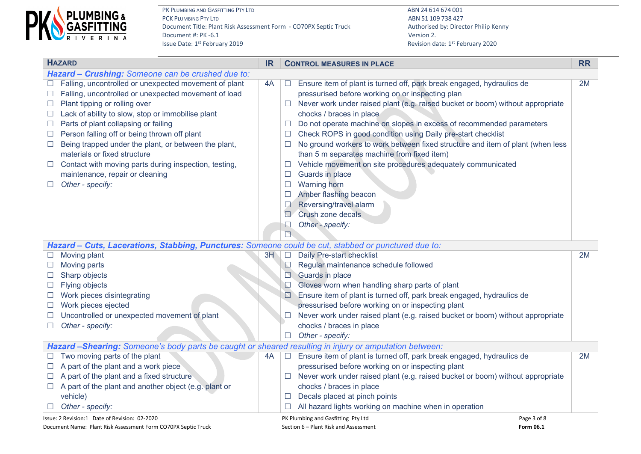

PK PLUMBING AND GASFITTING PTY LTD **ABN 24 614 674 001** PCK PLUMBING PTY LTD ABN 51 109 738 427 Document Title: Plant Risk Assessment Form - CO70PX Septic Truck Authorised by: Director Philip Kenny Document #: PK -6.1 Version 2.<br>
Issue Date: 1<sup>st</sup> February 2019

| <b>HAZARD</b>                                                                                                                                                                                                                                                        |    |                                    | <b>CONTROL MEASURES IN PLACE</b>                                                                                                                                                                                                                                                                                | <b>RR</b> |
|----------------------------------------------------------------------------------------------------------------------------------------------------------------------------------------------------------------------------------------------------------------------|----|------------------------------------|-----------------------------------------------------------------------------------------------------------------------------------------------------------------------------------------------------------------------------------------------------------------------------------------------------------------|-----------|
| Hazard - Crushing: Someone can be crushed due to:                                                                                                                                                                                                                    |    |                                    |                                                                                                                                                                                                                                                                                                                 |           |
| Falling, uncontrolled or unexpected movement of plant<br>Falling, uncontrolled or unexpected movement of load<br>Plant tipping or rolling over<br>$\Box$<br>Lack of ability to slow, stop or immobilise plant<br>Ш<br>Parts of plant collapsing or failing<br>$\Box$ | 4A | $\Box$<br>⊔                        | Ensure item of plant is turned off, park break engaged, hydraulics de<br>pressurised before working on or inspecting plan<br>Never work under raised plant (e.g. raised bucket or boom) without appropriate<br>chocks / braces in place<br>Do not operate machine on slopes in excess of recommended parameters | 2M        |
| Person falling off or being thrown off plant<br>$\overline{\phantom{a}}$<br>Being trapped under the plant, or between the plant,<br>$\overline{\phantom{a}}$<br>materials or fixed structure                                                                         |    | $\overline{\phantom{a}}$<br>$\Box$ | Check ROPS in good condition using Daily pre-start checklist<br>No ground workers to work between fixed structure and item of plant (when less<br>than 5 m separates machine from fixed item)                                                                                                                   |           |
| Contact with moving parts during inspection, testing,<br>$\Box$<br>maintenance, repair or cleaning<br>Other - specify:                                                                                                                                               |    | $\Box$<br>$\Box$<br>$\Box$<br>ш    | Vehicle movement on site procedures adequately communicated<br>Guards in place<br><b>Warning horn</b><br>Amber flashing beacon<br>Reversing/travel alarm<br>Crush zone decals                                                                                                                                   |           |
| Hazard - Cuts, Lacerations, Stabbing, Punctures: Someone could be cut, stabbed or punctured due to:                                                                                                                                                                  |    | $\Box$                             | Other - specify:                                                                                                                                                                                                                                                                                                |           |
| Moving plant<br>Moving parts<br>Sharp objects                                                                                                                                                                                                                        | 3H | $\Box$<br>$\Box$<br>$\Box$         | Daily Pre-start checklist<br>Regular maintenance schedule followed<br><b>Guards in place</b>                                                                                                                                                                                                                    | 2M        |
| Flying objects<br>Work pieces disintegrating<br>$\mathcal{L}$                                                                                                                                                                                                        |    | ⊡                                  | Gloves worn when handling sharp parts of plant<br>Ensure item of plant is turned off, park break engaged, hydraulics de                                                                                                                                                                                         |           |
| Work pieces ejected<br>$\Box$<br>Uncontrolled or unexpected movement of plant<br>Other - specify:<br>$\Box$                                                                                                                                                          |    | $\Box$                             | pressurised before working on or inspecting plant<br>Never work under raised plant (e.g. raised bucket or boom) without appropriate<br>chocks / braces in place<br>Other - specify:                                                                                                                             |           |
| Hazard -Shearing: Someone's body parts be caught or sheared resulting in injury or amputation between:                                                                                                                                                               |    |                                    |                                                                                                                                                                                                                                                                                                                 |           |
| Two moving parts of the plant<br>A part of the plant and a work piece<br>A part of the plant and a fixed structure<br>A part of the plant and another object (e.g. plant or<br>$\Box$<br>vehicle)                                                                    | 4A | $\Box$<br>⊔                        | Ensure item of plant is turned off, park break engaged, hydraulics de<br>pressurised before working on or inspecting plant<br>Never work under raised plant (e.g. raised bucket or boom) without appropriate<br>chocks / braces in place<br>Decals placed at pinch points                                       | 2M        |
| Other - specify:                                                                                                                                                                                                                                                     |    |                                    | All hazard lights working on machine when in operation                                                                                                                                                                                                                                                          |           |
| Issue: 2 Revision:1 Date of Revision: 02-2020                                                                                                                                                                                                                        |    |                                    | PK Plumbing and Gasfitting Pty Ltd<br>Page 3 of 8                                                                                                                                                                                                                                                               |           |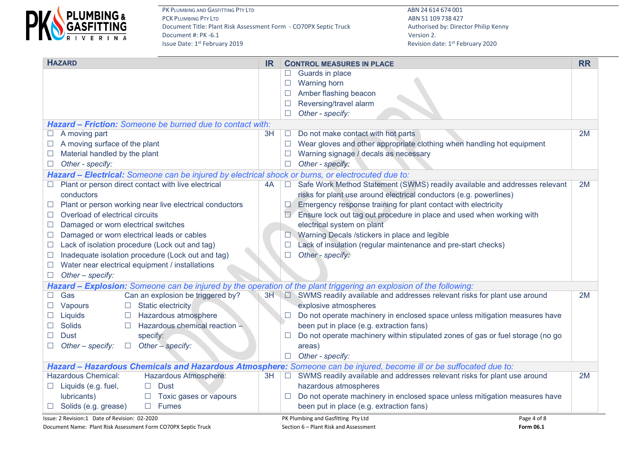

| <b>HAZARD</b>                                                                                                      | <b>IR</b> |               | <b>CONTROL MEASURES IN PLACE</b>                                                                                   | <b>RR</b> |
|--------------------------------------------------------------------------------------------------------------------|-----------|---------------|--------------------------------------------------------------------------------------------------------------------|-----------|
|                                                                                                                    |           | $\Box$        | Guards in place                                                                                                    |           |
|                                                                                                                    |           | $\Box$        | Warning horn                                                                                                       |           |
|                                                                                                                    |           | $\Box$        | Amber flashing beacon                                                                                              |           |
|                                                                                                                    |           | $\Box$        | Reversing/travel alarm                                                                                             |           |
|                                                                                                                    |           | □             | Other - specify:                                                                                                   |           |
| <b>Hazard – Friction:</b> Someone be burned due to contact with:                                                   |           |               |                                                                                                                    |           |
| A moving part<br>$\Box$                                                                                            | 3H        | $\Box$        | Do not make contact with hot parts                                                                                 | 2M        |
| A moving surface of the plant                                                                                      |           |               | Wear gloves and other appropriate clothing when handling hot equipment                                             |           |
| Material handled by the plant<br>$\Box$                                                                            |           | $\Box$        | Warning signage / decals as necessary                                                                              |           |
| Other - specify:<br>$\Box$                                                                                         |           | $\Box$        | Other - specify:                                                                                                   |           |
| Hazard - Electrical: Someone can be injured by electrical shock or burns, or electrocuted due to:                  |           |               |                                                                                                                    |           |
| Plant or person direct contact with live electrical                                                                | 4A        | $\mathcal{L}$ | Safe Work Method Statement (SWMS) readily available and addresses relevant                                         | 2M        |
| conductors                                                                                                         |           |               | risks for plant use around electrical conductors (e.g. powerlines)                                                 |           |
| Plant or person working near live electrical conductors                                                            |           | $\Box$        | Emergency response training for plant contact with electricity                                                     |           |
| Overload of electrical circuits                                                                                    |           |               | Ensure lock out tag out procedure in place and used when working with                                              |           |
| Damaged or worn electrical switches<br>$\Box$                                                                      |           |               | electrical system on plant                                                                                         |           |
| Damaged or worn electrical leads or cables<br>$\Box$                                                               |           |               | Warning Decals /stickers in place and legible                                                                      |           |
| Lack of isolation procedure (Lock out and tag)<br>$\mathcal{L}$                                                    |           | $\Box$        | Lack of insulation (regular maintenance and pre-start checks)                                                      |           |
| Inadequate isolation procedure (Lock out and tag)<br>$\Box$                                                        |           | $\Box$        | Other - specify:                                                                                                   |           |
| Water near electrical equipment / installations<br>$\Box$                                                          |           |               |                                                                                                                    |           |
| Other - specify:<br>$\Box$                                                                                         |           |               |                                                                                                                    |           |
| Hazard – Explosion: Someone can be injured by the operation of the plant triggering an explosion of the following: |           |               |                                                                                                                    |           |
| Gas<br>Can an explosion be triggered by?                                                                           |           |               | 3H $\Box$ SWMS readily available and addresses relevant risks for plant use around                                 | 2M        |
| <b>Static electricity</b><br>Vapours                                                                               |           |               | explosive atmospheres                                                                                              |           |
| Hazardous atmosphere<br>Liquids<br>$\mathcal{L}$                                                                   |           | ⊔             | Do not operate machinery in enclosed space unless mitigation measures have                                         |           |
| Hazardous chemical reaction -<br><b>Solids</b><br>$\Box$                                                           |           |               | been put in place (e.g. extraction fans)                                                                           |           |
| specify:<br>Dust                                                                                                   |           | <b>I</b>      | Do not operate machinery within stipulated zones of gas or fuel storage (no go                                     |           |
| Other - specify:<br>Other - specify:<br>$\Box$                                                                     |           |               | areas)                                                                                                             |           |
|                                                                                                                    |           |               | $\Box$ Other - specify:                                                                                            |           |
|                                                                                                                    |           |               | Hazard - Hazardous Chemicals and Hazardous Atmosphere: Someone can be injured, become ill or be suffocated due to: |           |
| <b>Hazardous Chemical:</b><br>Hazardous Atmosphere:                                                                | 3H.       |               | □ SWMS readily available and addresses relevant risks for plant use around                                         | 2M        |
| $\Box$ Liquids (e.g. fuel,<br><b>Dust</b>                                                                          |           |               | hazardous atmospheres                                                                                              |           |
| lubricants)<br>Toxic gases or vapours<br>$\Box$                                                                    |           | $\Box$        | Do not operate machinery in enclosed space unless mitigation measures have                                         |           |
| Solids (e.g. grease)<br><b>Fumes</b><br>$\Box$                                                                     |           |               | been put in place (e.g. extraction fans)                                                                           |           |
| Issue: 2 Revision:1 Date of Revision: 02-2020                                                                      |           |               | PK Plumbing and Gasfitting Pty Ltd<br>Page 4 of 8                                                                  |           |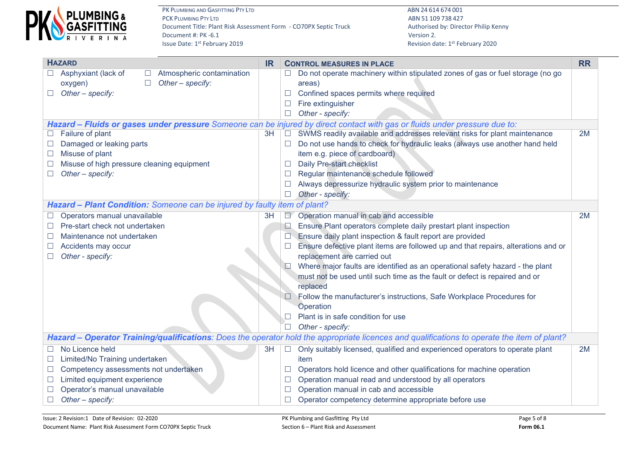

|               | <b>HAZARD</b><br><b>IR</b>                                                                                                 |        | <b>CONTROL MEASURES IN PLACE</b>                                                                                                            |    |  |  |  |
|---------------|----------------------------------------------------------------------------------------------------------------------------|--------|---------------------------------------------------------------------------------------------------------------------------------------------|----|--|--|--|
|               | Asphyxiant (lack of<br>Atmospheric contamination                                                                           |        | Do not operate machinery within stipulated zones of gas or fuel storage (no go                                                              |    |  |  |  |
|               | Other - specify:<br>oxygen)<br>$\Box$                                                                                      |        | areas)                                                                                                                                      |    |  |  |  |
| $\Box$        | Other - specify:                                                                                                           |        | Confined spaces permits where required                                                                                                      |    |  |  |  |
|               |                                                                                                                            |        | Fire extinguisher                                                                                                                           |    |  |  |  |
|               |                                                                                                                            |        | Other - specify:                                                                                                                            |    |  |  |  |
|               | Hazard - Fluids or gases under pressure Someone can be injured by direct contact with gas or fluids under pressure due to: |        |                                                                                                                                             |    |  |  |  |
|               | Failure of plant<br>3H                                                                                                     |        | SWMS readily available and addresses relevant risks for plant maintenance                                                                   | 2M |  |  |  |
|               | Damaged or leaking parts                                                                                                   |        | Do not use hands to check for hydraulic leaks (always use another hand held                                                                 |    |  |  |  |
| $\mathcal{L}$ | Misuse of plant                                                                                                            |        | item e.g. piece of cardboard)                                                                                                               |    |  |  |  |
|               | Misuse of high pressure cleaning equipment                                                                                 |        | Daily Pre-start checklist                                                                                                                   |    |  |  |  |
|               | Other - specify:                                                                                                           | L      | Regular maintenance schedule followed                                                                                                       |    |  |  |  |
|               |                                                                                                                            |        | Always depressurize hydraulic system prior to maintenance                                                                                   |    |  |  |  |
|               |                                                                                                                            |        | Other - specify:                                                                                                                            |    |  |  |  |
|               | Hazard - Plant Condition: Someone can be injured by faulty item of plant?                                                  |        |                                                                                                                                             |    |  |  |  |
| $\Box$        | Operators manual unavailable<br>3H                                                                                         | $\Box$ | Operation manual in cab and accessible                                                                                                      | 2M |  |  |  |
|               | Pre-start check not undertaken                                                                                             | L.     | Ensure Plant operators complete daily prestart plant inspection                                                                             |    |  |  |  |
|               | Maintenance not undertaken                                                                                                 |        | Ensure daily plant inspection & fault report are provided                                                                                   |    |  |  |  |
|               | Accidents may occur                                                                                                        |        | Ensure defective plant items are followed up and that repairs, alterations and or                                                           |    |  |  |  |
|               | Other - specify:                                                                                                           |        | replacement are carried out                                                                                                                 |    |  |  |  |
|               |                                                                                                                            |        | Where major faults are identified as an operational safety hazard - the plant                                                               |    |  |  |  |
|               |                                                                                                                            |        | must not be used until such time as the fault or defect is repaired and or                                                                  |    |  |  |  |
|               |                                                                                                                            |        | replaced                                                                                                                                    |    |  |  |  |
|               |                                                                                                                            |        | Follow the manufacturer's instructions, Safe Workplace Procedures for                                                                       |    |  |  |  |
|               |                                                                                                                            |        | Operation                                                                                                                                   |    |  |  |  |
|               |                                                                                                                            |        | Plant is in safe condition for use                                                                                                          |    |  |  |  |
|               |                                                                                                                            | $\Box$ | Other - specify:                                                                                                                            |    |  |  |  |
|               |                                                                                                                            |        | Hazard - Operator Training/qualifications: Does the operator hold the appropriate licences and qualifications to operate the item of plant? |    |  |  |  |
|               | No Licence held<br>3H                                                                                                      | $\Box$ | Only suitably licensed, qualified and experienced operators to operate plant                                                                | 2M |  |  |  |
| $\Box$        | Limited/No Training undertaken                                                                                             |        | item                                                                                                                                        |    |  |  |  |
| $\Box$        | Competency assessments not undertaken                                                                                      |        | Operators hold licence and other qualifications for machine operation                                                                       |    |  |  |  |
| $\Box$        | Limited equipment experience                                                                                               |        | Operation manual read and understood by all operators                                                                                       |    |  |  |  |
|               | Operator's manual unavailable                                                                                              |        | Operation manual in cab and accessible                                                                                                      |    |  |  |  |
| $\Box$        | Other - specify:                                                                                                           |        | Operator competency determine appropriate before use                                                                                        |    |  |  |  |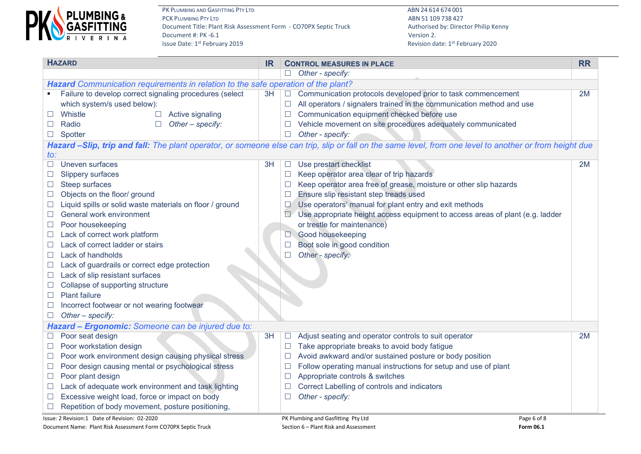

PK PLUMBING AND GASFITTING PTY LTD **ABN 24 614 674 001** PCK PLUMBING PTY LTD ABN 51 109 738 427 Document Title: Plant Risk Assessment Form - CO70PX Septic Truck Authorised by: Director Philip Kenny Document #: PK -6.1 Version 2.<br>
Issue Date: 1<sup>st</sup> February 2019

|                          | <b>HAZARD</b>                                                                     | <b>IR</b> | <b>CONTROL MEASURES IN PLACE</b> |                                                                                                                                                         |    |  |  |
|--------------------------|-----------------------------------------------------------------------------------|-----------|----------------------------------|---------------------------------------------------------------------------------------------------------------------------------------------------------|----|--|--|
|                          |                                                                                   |           |                                  | $\Box$ Other - specify:                                                                                                                                 |    |  |  |
|                          | Hazard Communication requirements in relation to the safe operation of the plant? |           |                                  |                                                                                                                                                         |    |  |  |
|                          | Failure to develop correct signaling procedures (select                           | 3H        | $\Box$                           | Communication protocols developed prior to task commencement                                                                                            | 2M |  |  |
|                          | which system/s used below):                                                       |           | $\Box$                           | All operators / signalers trained in the communication method and use                                                                                   |    |  |  |
|                          | Whistle<br>Active signaling<br>$\mathcal{L}$                                      |           | $\Box$                           | Communication equipment checked before use                                                                                                              |    |  |  |
|                          | Other - specify:<br>Radio<br>$\Box$                                               |           |                                  | Vehicle movement on site procedures adequately communicated                                                                                             |    |  |  |
|                          | Spotter                                                                           |           |                                  | Other - specify:                                                                                                                                        |    |  |  |
|                          |                                                                                   |           |                                  | Hazard -Slip, trip and fall: The plant operator, or someone else can trip, slip or fall on the same level, from one level to another or from height due |    |  |  |
| to:                      |                                                                                   |           |                                  |                                                                                                                                                         |    |  |  |
|                          | Uneven surfaces                                                                   | 3H        | $\Box$                           | Use prestart checklist                                                                                                                                  | 2M |  |  |
|                          | Slippery surfaces                                                                 |           | $\Box$                           | Keep operator area clear of trip hazards                                                                                                                |    |  |  |
|                          | Steep surfaces                                                                    |           | $\Box$                           | Keep operator area free of grease, moisture or other slip hazards                                                                                       |    |  |  |
|                          | Objects on the floor/ ground                                                      |           | $\Box$                           | Ensure slip resistant step treads used                                                                                                                  |    |  |  |
|                          | Liquid spills or solid waste materials on floor / ground                          |           | $\mathcal{A}$                    | Use operators' manual for plant entry and exit methods                                                                                                  |    |  |  |
|                          | General work environment                                                          |           | $\Box$                           | Use appropriate height access equipment to access areas of plant (e.g. ladder                                                                           |    |  |  |
|                          | Poor housekeeping                                                                 |           |                                  | or trestle for maintenance)                                                                                                                             |    |  |  |
| $\Box$                   | Lack of correct work platform                                                     |           | $\Box$                           | Good housekeeping                                                                                                                                       |    |  |  |
|                          | Lack of correct ladder or stairs                                                  |           |                                  | Boot sole in good condition                                                                                                                             |    |  |  |
| ⊔                        | Lack of handholds                                                                 |           | П                                | Other - specify:                                                                                                                                        |    |  |  |
| ⊔                        | Lack of guardrails or correct edge protection                                     |           |                                  |                                                                                                                                                         |    |  |  |
| ப                        | Lack of slip resistant surfaces                                                   |           |                                  |                                                                                                                                                         |    |  |  |
|                          | Collapse of supporting structure                                                  |           |                                  |                                                                                                                                                         |    |  |  |
|                          | <b>Plant failure</b>                                                              |           |                                  |                                                                                                                                                         |    |  |  |
|                          | Incorrect footwear or not wearing footwear                                        |           |                                  |                                                                                                                                                         |    |  |  |
| $\Box$                   | Other - specify:                                                                  |           |                                  |                                                                                                                                                         |    |  |  |
|                          | Hazard - Ergonomic: Someone can be injured due to:                                |           |                                  |                                                                                                                                                         |    |  |  |
|                          | Poor seat design                                                                  | 3H        | $\Box$                           | Adjust seating and operator controls to suit operator                                                                                                   | 2M |  |  |
|                          | Poor workstation design                                                           |           | $\Box$                           | Take appropriate breaks to avoid body fatigue                                                                                                           |    |  |  |
| ⊔                        | Poor work environment design causing physical stress                              |           | $\Box$                           | Avoid awkward and/or sustained posture or body position                                                                                                 |    |  |  |
|                          | Poor design causing mental or psychological stress                                |           | $\Box$                           | Follow operating manual instructions for setup and use of plant                                                                                         |    |  |  |
| $\overline{\phantom{a}}$ | Poor plant design                                                                 |           | $\Box$                           | Appropriate controls & switches                                                                                                                         |    |  |  |
|                          | Lack of adequate work environment and task lighting                               |           | $\Box$                           | Correct Labelling of controls and indicators                                                                                                            |    |  |  |
|                          | Excessive weight load, force or impact on body                                    |           | $\Box$                           | Other - specify:                                                                                                                                        |    |  |  |
| $\Box$                   | Repetition of body movement, posture positioning,                                 |           |                                  |                                                                                                                                                         |    |  |  |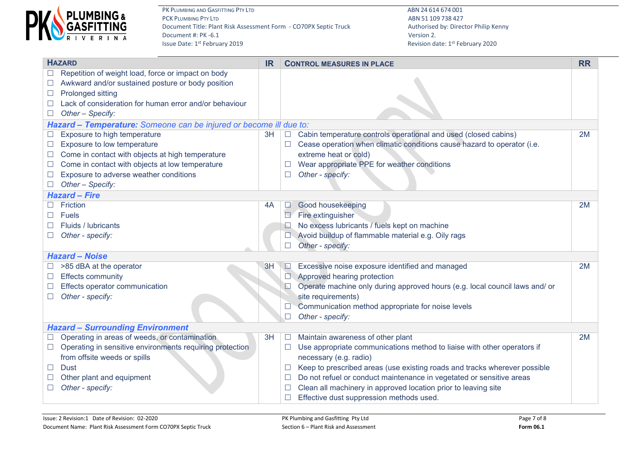

|        | <b>HAZARD</b>                                                      | <b>IR</b> |          | <b>CONTROL MEASURES IN PLACE</b>                                            |    |  |  |  |  |  |  |
|--------|--------------------------------------------------------------------|-----------|----------|-----------------------------------------------------------------------------|----|--|--|--|--|--|--|
|        | Repetition of weight load, force or impact on body                 |           |          |                                                                             |    |  |  |  |  |  |  |
| ⊔      | Awkward and/or sustained posture or body position                  |           |          |                                                                             |    |  |  |  |  |  |  |
| ⊔      | Prolonged sitting                                                  |           |          |                                                                             |    |  |  |  |  |  |  |
|        | Lack of consideration for human error and/or behaviour             |           |          |                                                                             |    |  |  |  |  |  |  |
| $\Box$ | Other - Specify:                                                   |           |          |                                                                             |    |  |  |  |  |  |  |
|        | Hazard - Temperature: Someone can be injured or become ill due to: |           |          |                                                                             |    |  |  |  |  |  |  |
|        | Exposure to high temperature                                       | 3H        | $\Box$   | Cabin temperature controls operational and used (closed cabins)             | 2M |  |  |  |  |  |  |
| $\Box$ | Exposure to low temperature                                        |           |          | Cease operation when climatic conditions cause hazard to operator (i.e.     |    |  |  |  |  |  |  |
|        | Come in contact with objects at high temperature                   |           |          | extreme heat or cold)                                                       |    |  |  |  |  |  |  |
|        | Come in contact with objects at low temperature                    |           | $\Box$   | Wear appropriate PPE for weather conditions                                 |    |  |  |  |  |  |  |
| $\Box$ | Exposure to adverse weather conditions                             |           | $\Box$   | Other - specify:                                                            |    |  |  |  |  |  |  |
|        | Other - Specify:                                                   |           |          |                                                                             |    |  |  |  |  |  |  |
|        | <b>Hazard - Fire</b>                                               |           |          |                                                                             |    |  |  |  |  |  |  |
|        | Friction                                                           | 4A        | $\Box$   | Good housekeeping                                                           | 2M |  |  |  |  |  |  |
|        | <b>Fuels</b>                                                       |           |          | Fire extinguisher                                                           |    |  |  |  |  |  |  |
|        | Fluids / lubricants                                                |           | ⊾        | No excess lubricants / fuels kept on machine                                |    |  |  |  |  |  |  |
|        | Other - specify:                                                   |           | $\Box$   | Avoid buildup of flammable material e.g. Oily rags                          |    |  |  |  |  |  |  |
|        |                                                                    |           | $\Box$   | Other - specify:                                                            |    |  |  |  |  |  |  |
|        | <b>Hazard - Noise</b>                                              |           |          |                                                                             |    |  |  |  |  |  |  |
|        | >85 dBA at the operator                                            | 3H        | $\Box$   | Excessive noise exposure identified and managed                             | 2M |  |  |  |  |  |  |
|        | <b>Effects community</b>                                           |           |          | Approved hearing protection                                                 |    |  |  |  |  |  |  |
| $\Box$ | Effects operator communication                                     |           | $\Box$   | Operate machine only during approved hours (e.g. local council laws and/ or |    |  |  |  |  |  |  |
|        | Other - specify:                                                   |           |          | site requirements)                                                          |    |  |  |  |  |  |  |
|        |                                                                    |           |          | Communication method appropriate for noise levels                           |    |  |  |  |  |  |  |
|        |                                                                    |           | П        | Other - specify:                                                            |    |  |  |  |  |  |  |
|        | <b>Hazard - Surrounding Environment</b>                            |           |          |                                                                             |    |  |  |  |  |  |  |
| $\Box$ | Operating in areas of weeds, or contamination                      | 3H        | $\Box$   | Maintain awareness of other plant                                           | 2M |  |  |  |  |  |  |
| $\Box$ | Operating in sensitive environments requiring protection           |           | $\Box$   | Use appropriate communications method to liaise with other operators if     |    |  |  |  |  |  |  |
|        | from offsite weeds or spills                                       |           |          | necessary (e.g. radio)                                                      |    |  |  |  |  |  |  |
| $\Box$ | <b>Dust</b>                                                        |           | $\sqcup$ | Keep to prescribed areas (use existing roads and tracks wherever possible   |    |  |  |  |  |  |  |
|        | Other plant and equipment                                          |           | $\Box$   | Do not refuel or conduct maintenance in vegetated or sensitive areas        |    |  |  |  |  |  |  |
|        | Other - specify:                                                   |           | $\Box$   | Clean all machinery in approved location prior to leaving site              |    |  |  |  |  |  |  |
|        |                                                                    |           | $\Box$   | Effective dust suppression methods used.                                    |    |  |  |  |  |  |  |